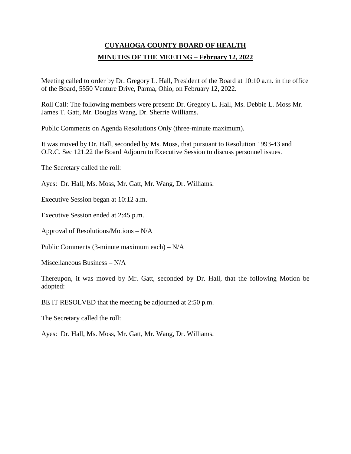## **CUYAHOGA COUNTY BOARD OF HEALTH MINUTES OF THE MEETING – February 12, 2022**

Meeting called to order by Dr. Gregory L. Hall, President of the Board at 10:10 a.m. in the office of the Board, 5550 Venture Drive, Parma, Ohio, on February 12, 2022.

Roll Call: The following members were present: Dr. Gregory L. Hall, Ms. Debbie L. Moss Mr. James T. Gatt, Mr. Douglas Wang, Dr. Sherrie Williams.

Public Comments on Agenda Resolutions Only (three-minute maximum).

It was moved by Dr. Hall, seconded by Ms. Moss, that pursuant to Resolution 1993-43 and O.R.C. Sec 121.22 the Board Adjourn to Executive Session to discuss personnel issues.

The Secretary called the roll:

Ayes: Dr. Hall, Ms. Moss, Mr. Gatt, Mr. Wang, Dr. Williams.

Executive Session began at 10:12 a.m.

Executive Session ended at 2:45 p.m.

Approval of Resolutions/Motions – N/A

Public Comments (3-minute maximum each) – N/A

Miscellaneous Business – N/A

Thereupon, it was moved by Mr. Gatt, seconded by Dr. Hall, that the following Motion be adopted:

BE IT RESOLVED that the meeting be adjourned at 2:50 p.m.

The Secretary called the roll:

Ayes: Dr. Hall, Ms. Moss, Mr. Gatt, Mr. Wang, Dr. Williams.